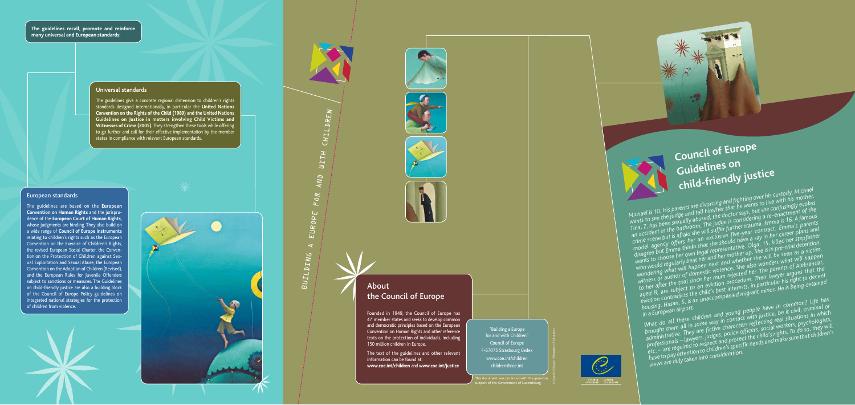| ALLDING A EUROPE FOR AND WITH CHILDREN |
|----------------------------------------|
|                                        |
|                                        |

© Council of Europe – Illustration: Eric Puybaret

**The guidelines recall, promote and reinforce many universal and European standards:**

### European standards

The guidelines are based on the **European Convention on Human Rights** and the jurispru dence of the **European Court of Human Rights,** whose judgments are binding. They also build on a wide range of **Council of Europe instruments** relating to children's rights such as the European Convention on the Exercise of Children's Rights, the revised European Social Charter, the Conven tion on the Protection of Children against Sex ual Exploitation and Sexual Abuse, the European Convention on the Adoption of Children (Revised), and the European Rules for Juvenile Offenders subject to sanctions or measures. The Guidelines on child-friendly justice are also a building block of the Council of Europe Policy guidelines on integrated national strategies for the protection of children from violence.





#### Universal standards

The guidelines give a concrete regional dimension to children's rights standards designed internationally, in particular the **United Nations Convention on the Rights of the Child (1989) and the United Nations Guidelines on Justice in matters involving Child Victims and Witnesses of Crime (2005).** They strengthen these tools while offering to go further and call for their effective implementation by the member states in compliance with relevant European standards.

## About the Council of Europe

Founded in 1949, the Council of Europe has 47 member states and seeks to develop common and democratic principles based on the European Convention on Human Rights and other reference texts on the protection of individuals, including 150 million children in Europe.

The text of the guidelines and other relevant information can be found at: **www.coe.int/children** and **www.coe.int/justice**

"Building a Europe for and with Children" Council of Europe F-67075 Strasbourg Cedex www.coe.int/children children@coe.int

This document was produced with the generous support of the Government of Luxembourg.



**child-friendly justice**<br>
Michael is 10. His parents are divorcing and fighting over his custody. Michael<br>
Michael is 10. His parents are divorcing and fighting with his mother.<br>
Whichael is 10. His parents are divorcing a **Council of Europe**<br> **Cuidelines on**<br> **Cuidelines on**<br> **Cuidelines on**<br> **Cuidelines on**<br> **Cuidelines on**<br> **Cuidelines on the plane of diplicity** werelds in the started with his mother.<br>
Nichael is 10. His parents are divor